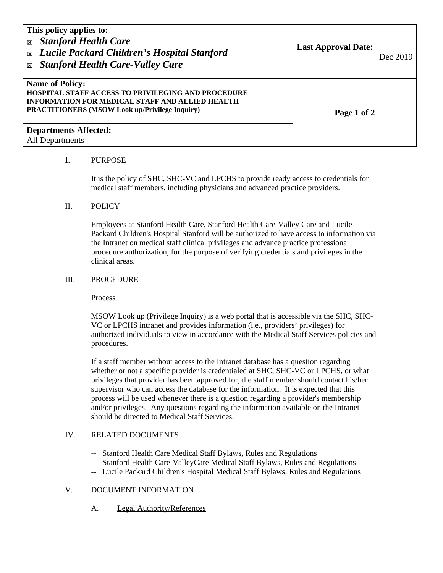| This policy applies to:<br><b>Stanford Health Care</b><br>図<br><b>Exable 2</b> Lucile Packard Children's Hospital Stanford<br><b>Stanford Health Care-Valley Care</b><br>図                             | <b>Last Approval Date:</b><br>Dec 2019 |
|--------------------------------------------------------------------------------------------------------------------------------------------------------------------------------------------------------|----------------------------------------|
| <b>Name of Policy:</b><br><b>HOSPITAL STAFF ACCESS TO PRIVILEGING AND PROCEDURE</b><br><b>INFORMATION FOR MEDICAL STAFF AND ALLIED HEALTH</b><br><b>PRACTITIONERS (MSOW Look up/Privilege Inquiry)</b> | Page 1 of 2                            |
| <b>Departments Affected:</b><br>All Departments                                                                                                                                                        |                                        |

### I. PURPOSE

 It is the policy of SHC, SHC-VC and LPCHS to provide ready access to credentials for medical staff members, including physicians and advanced practice providers.

#### II. POLICY

Employees at Stanford Health Care, Stanford Health Care-Valley Care and Lucile Packard Children's Hospital Stanford will be authorized to have access to information via the Intranet on medical staff clinical privileges and advance practice professional procedure authorization, for the purpose of verifying credentials and privileges in the clinical areas.

#### III. PROCEDURE

Process

MSOW Look up (Privilege Inquiry) is a web portal that is accessible via the SHC, SHC-VC or LPCHS intranet and provides information (i.e., providers' privileges) for authorized individuals to view in accordance with the Medical Staff Services policies and procedures.

If a staff member without access to the Intranet database has a question regarding whether or not a specific provider is credentialed at SHC, SHC-VC or LPCHS, or what privileges that provider has been approved for, the staff member should contact his/her supervisor who can access the database for the information. It is expected that this process will be used whenever there is a question regarding a provider's membership and/or privileges. Any questions regarding the information available on the Intranet should be directed to Medical Staff Services.

## IV. RELATED DOCUMENTS

- -- Stanford Health Care Medical Staff Bylaws, Rules and Regulations
- -- Stanford Health Care-ValleyCare Medical Staff Bylaws, Rules and Regulations
- -- Lucile Packard Children's Hospital Medical Staff Bylaws, Rules and Regulations

# V. DOCUMENT INFORMATION

A. Legal Authority/References